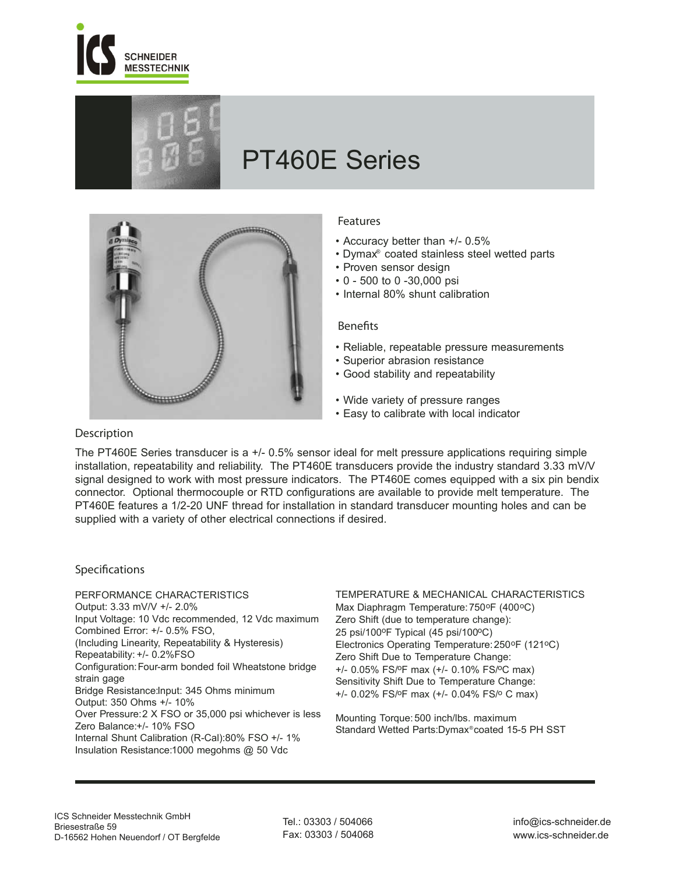



# PT460E Series



# **Features**

- Accuracy better than +/- 0.5%
- Dymax® coated stainless steel wetted parts
- Proven sensor design
- 0 500 to 0 -30,000 psi
- Internal 80% shunt calibration

#### **Benets**

- Reliable, repeatable pressure measurements
- Superior abrasion resistance
- Good stability and repeatability
- Wide variety of pressure ranges
- Easy to calibrate with local indicator

# **Description**

The PT460E Series transducer is a +/- 0.5% sensor ideal for melt pressure applications requiring simple installation, repeatability and reliability. The PT460E transducers provide the industry standard 3.33 mV/V signal designed to work with most pressure indicators. The PT460E comes equipped with a six pin bendix connector. Optional thermocouple or RTD configurations are available to provide melt temperature. The PT460E features a 1/2-20 UNF thread for installation in standard transducer mounting holes and can be supplied with a variety of other electrical connections if desired.

# **Specifications**

PERFORMANCE CHARACTERISTICS Output: 3.33 mV/V +/- 2.0% Input Voltage: 10 Vdc recommended, 12 Vdc maximum Combined Error: +/- 0.5% FSO, (Including Linearity, Repeatability & Hysteresis) Repeatability: +/- 0.2%FSO Configuration:Four-arm bonded foil Wheatstone bridge strain gage Bridge Resistance:Input: 345 Ohms minimum Output: 350 Ohms +/- 10% Over Pressure:2 X FSO or 35,000 psi whichever is less Zero Balance:+/- 10% FSO Internal Shunt Calibration (R-Cal):80% FSO +/- 1% Insulation Resistance: 1000 megohms @ 50 Vdc

TEMPERATURE & MECHANICAL CHARACTERISTICS Max Diaphragm Temperature: 750°F (400°C) Zero Shift (due to temperature change): 25 psi/100°F Typical (45 psi/100°C) Electronics Operating Temperature:250oF (121oC) Zero Shift Due to Temperature Change: +/- 0.05% FS/oF max (+/- 0.10% FS/oC max) Sensitivity Shift Due to Temperature Change: +/- 0.02% FS/oF max (+/- 0.04% FS/o C max)

Mounting Torque: 500 inch/lbs. maximum Standard Wetted Parts: Dymax® coated 15-5 PH SST

Tel.: 03303 / 504066 Fax: 03303 / 504068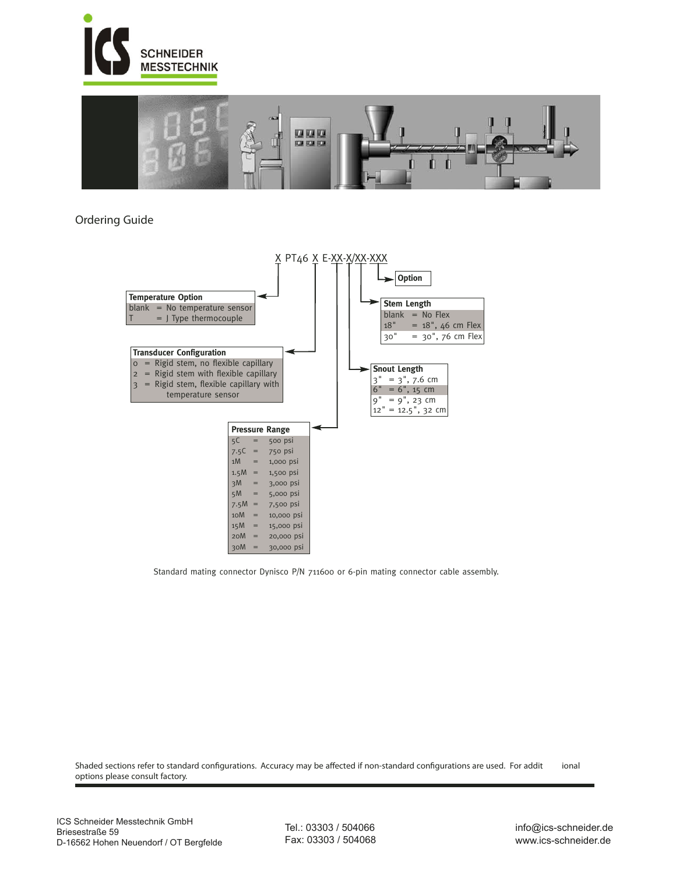



# **Ordering Guide**



Standard mating connector Dynisco P/N 711600 or 6-pin mating connector cable assembly.

Shaded sections refer to standard configurations. Accuracy may be affected if non-standard configurations are used. For addit ional options please consult factory.

Tel.: 03303 / 504066 Fax: 03303 / 504068